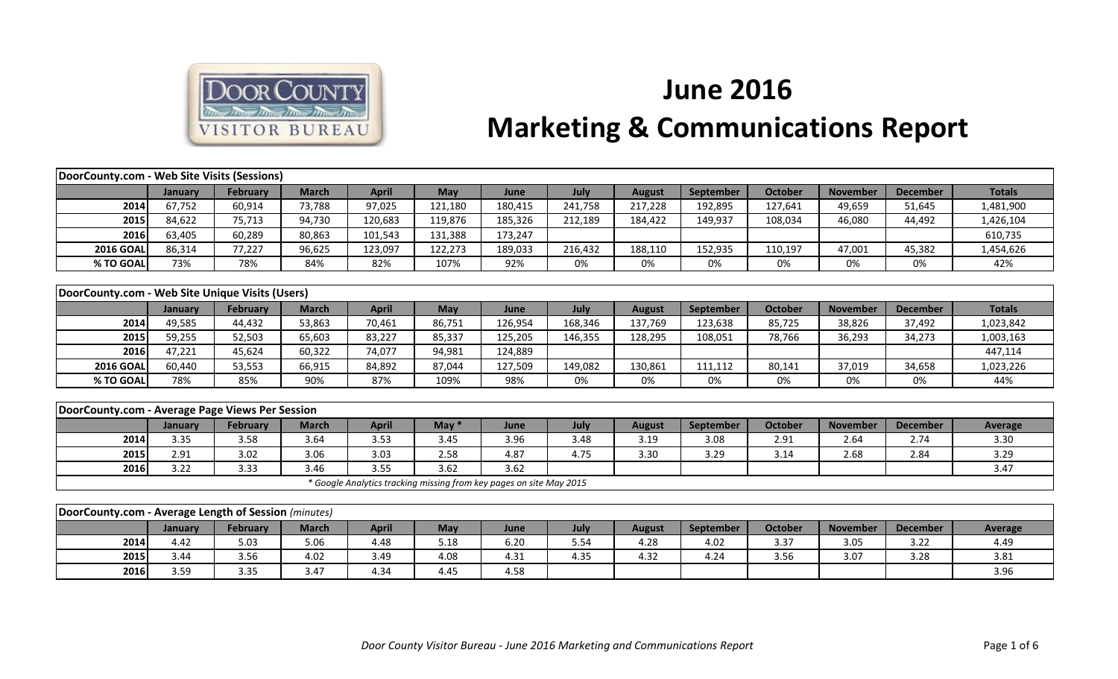

## **June 2016 Marketing & Communications Report**

|                                                      | DoorCounty.com - Web Site Visits (Sessions) |                 |              |              |                                                                     |         |         |               |           |                |                 |                 |                |
|------------------------------------------------------|---------------------------------------------|-----------------|--------------|--------------|---------------------------------------------------------------------|---------|---------|---------------|-----------|----------------|-----------------|-----------------|----------------|
|                                                      | January                                     | <b>February</b> | <b>March</b> | <b>April</b> | <b>May</b>                                                          | June    | July    | <b>August</b> | September | <b>October</b> | <b>November</b> | <b>December</b> | <b>Totals</b>  |
| 2014                                                 | 67,752                                      | 60,914          | 73,788       | 97,025       | 121,180                                                             | 180,415 | 241,758 | 217,228       | 192,895   | 127,641        | 49,659          | 51,645          | 1,481,900      |
| 2015                                                 | 84,622                                      | 75,713          | 94,730       | 120,683      | 119,876                                                             | 185,326 | 212,189 | 184,422       | 149,937   | 108,034        | 46,080          | 44,492          | 1,426,104      |
| 2016                                                 | 63,405                                      | 60,289          | 80,863       | 101,543      | 131,388                                                             | 173,247 |         |               |           |                |                 |                 | 610,735        |
| <b>2016 GOAL</b>                                     | 86,314                                      | 77,227          | 96,625       | 123,097      | 122,273                                                             | 189,033 | 216,432 | 188,110       | 152,935   | 110,197        | 47,001          | 45,382          | 1,454,626      |
| % TO GOAL                                            | 73%                                         | 78%             | 84%          | 82%          | 107%                                                                | 92%     | 0%      | 0%            | 0%        | 0%             | 0%              | 0%              | 42%            |
|                                                      |                                             |                 |              |              |                                                                     |         |         |               |           |                |                 |                 |                |
| DoorCounty.com - Web Site Unique Visits (Users)      |                                             |                 |              |              |                                                                     |         |         |               |           |                |                 |                 |                |
|                                                      | January                                     | <b>February</b> | <b>March</b> | <b>April</b> | May                                                                 | June    | July    | <b>August</b> | September | <b>October</b> | <b>November</b> | <b>December</b> | <b>Totals</b>  |
| 2014                                                 | 49,585                                      | 44,432          | 53,863       | 70,461       | 86,751                                                              | 126,954 | 168,346 | 137,769       | 123,638   | 85,725         | 38,826          | 37,492          | 1,023,842      |
| 2015                                                 | 59,255                                      | 52,503          | 65,603       | 83,227       | 85,337                                                              | 125,205 | 146,355 | 128,295       | 108,051   | 78,766         | 36,293          | 34,273          | 1,003,163      |
| 2016                                                 | 47,221                                      | 45,624          | 60,322       | 74,077       | 94,981                                                              | 124,889 |         |               |           |                |                 |                 | 447,114        |
| <b>2016 GOAL</b>                                     | 60,440                                      | 53,553          | 66,915       | 84,892       | 87,044                                                              | 127,509 | 149,082 | 130,861       | 111,112   | 80,141         | 37,019          | 34,658          | 1,023,226      |
| % TO GOAL                                            | 78%                                         | 85%             | 90%          | 87%          | 109%                                                                | 98%     | 0%      | 0%            | 0%        | 0%             | 0%              | 0%              | 44%            |
|                                                      |                                             |                 |              |              |                                                                     |         |         |               |           |                |                 |                 |                |
| DoorCounty.com - Average Page Views Per Session      |                                             |                 |              |              |                                                                     |         |         |               |           |                |                 |                 |                |
|                                                      | January                                     | <b>February</b> | <b>March</b> | <b>April</b> | May $*$                                                             | June    | July    | <b>August</b> | September | <b>October</b> | <b>November</b> | <b>December</b> | <b>Average</b> |
| 2014                                                 | 3.35                                        | 3.58            | 3.64         | 3.53         | 3.45                                                                | 3.96    | 3.48    | 3.19          | 3.08      | 2.91           | 2.64            | 2.74            | 3.30           |
| 2015                                                 | 2.91                                        | 3.02            | 3.06         | 3.03         | 2.58                                                                | 4.87    | 4.75    | 3.30          | 3.29      | 3.14           | 2.68            | 2.84            | 3.29           |
| 2016                                                 | 3.22                                        | 3.33            | 3.46         | 3.55         | 3.62                                                                | 3.62    |         |               |           |                |                 |                 | 3.47           |
|                                                      |                                             |                 |              |              | * Google Analytics tracking missing from key pages on site May 2015 |         |         |               |           |                |                 |                 |                |
|                                                      |                                             |                 |              |              |                                                                     |         |         |               |           |                |                 |                 |                |
| DoorCounty.com - Average Length of Session (minutes) |                                             |                 |              |              |                                                                     |         |         |               |           |                |                 |                 |                |
|                                                      | January                                     | <b>February</b> | <b>March</b> | <b>April</b> | May                                                                 | June    | July    | <b>August</b> | September | <b>October</b> | <b>November</b> | <b>December</b> | Average        |
| 2014                                                 | 4.42                                        | 5.03            | 5.06         | 4.48         | 5.18                                                                | 6.20    | 5.54    | 4.28          | 4.02      | 3.37           | 3.05            | 3.22            | 4.49           |
| 2015                                                 | 3.44                                        | 3.56            | 4.02         | 3.49         | 4.08                                                                | 4.31    | 4.35    | 4.32          | 4.24      | 3.56           | 3.07            | 3.28            | 3.81           |
| 2016                                                 | 3.59                                        | 3.35            | 3.47         | 4.34         | 4.45                                                                | 4.58    |         |               |           |                |                 |                 | 3.96           |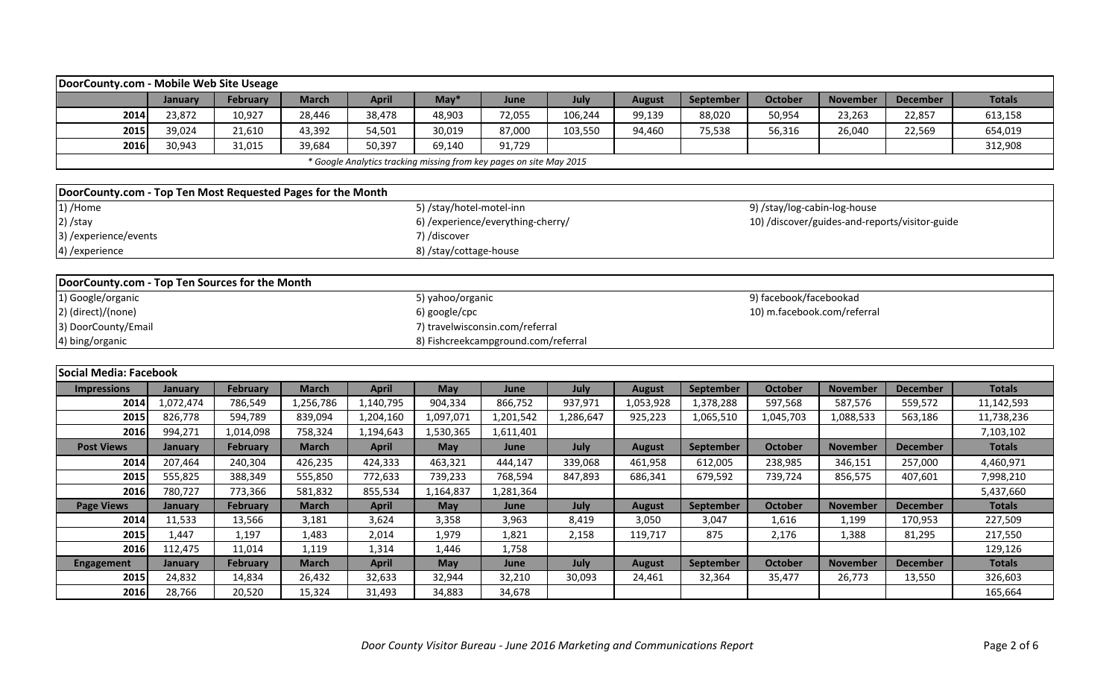|                                                             | DoorCounty.com - Mobile Web Site Useage |                 |              |              |                          |                                                                     |           |               |                  |                                                |                 |                 |               |
|-------------------------------------------------------------|-----------------------------------------|-----------------|--------------|--------------|--------------------------|---------------------------------------------------------------------|-----------|---------------|------------------|------------------------------------------------|-----------------|-----------------|---------------|
|                                                             | January                                 | February        | <b>March</b> | <b>April</b> | $May*$                   | June                                                                | July      | <b>August</b> | <b>September</b> | <b>October</b>                                 | <b>November</b> | <b>December</b> | <b>Totals</b> |
| 2014                                                        | 23,872                                  | 10,927          | 28,446       | 38,478       | 48,903                   | 72,055                                                              | 106,244   | 99,139        | 88,020           | 50,954                                         | 23,263          | 22,857          | 613,158       |
| 2015                                                        | 39,024                                  | 21,610          | 43,392       | 54,501       | 30,019                   | 87,000                                                              | 103,550   | 94,460        | 75,538           | 56,316                                         | 26,040          | 22,569          | 654,019       |
| 2016                                                        | 30,943                                  | 31,015          | 39,684       | 50,397       | 69,140                   | 91,729                                                              |           |               |                  |                                                |                 |                 | 312,908       |
|                                                             |                                         |                 |              |              |                          | * Google Analytics tracking missing from key pages on site May 2015 |           |               |                  |                                                |                 |                 |               |
|                                                             |                                         |                 |              |              |                          |                                                                     |           |               |                  |                                                |                 |                 |               |
| DoorCounty.com - Top Ten Most Requested Pages for the Month |                                         |                 |              |              |                          |                                                                     |           |               |                  |                                                |                 |                 |               |
| 1) /Home                                                    |                                         |                 |              |              | 5) /stay/hotel-motel-inn |                                                                     |           |               |                  | 9) /stay/log-cabin-log-house                   |                 |                 |               |
| $2)$ /stay                                                  |                                         |                 |              |              |                          | 6) /experience/everything-cherry/                                   |           |               |                  | 10) /discover/guides-and-reports/visitor-guide |                 |                 |               |
| 7) /discover<br>3) / experience/ events                     |                                         |                 |              |              |                          |                                                                     |           |               |                  |                                                |                 |                 |               |
| 4) / experience                                             | 8) /stay/cottage-house                  |                 |              |              |                          |                                                                     |           |               |                  |                                                |                 |                 |               |
|                                                             |                                         |                 |              |              |                          |                                                                     |           |               |                  |                                                |                 |                 |               |
| DoorCounty.com - Top Ten Sources for the Month              |                                         |                 |              |              |                          |                                                                     |           |               |                  |                                                |                 |                 |               |
| 1) Google/organic                                           |                                         |                 |              |              | 5) yahoo/organic         |                                                                     |           |               |                  | 9) facebook/facebookad                         |                 |                 |               |
| 2) (direct)/(none)                                          |                                         |                 |              |              | 6) google/cpc            |                                                                     |           |               |                  | 10) m.facebook.com/referral                    |                 |                 |               |
| 3) DoorCounty/Email                                         |                                         |                 |              |              |                          | 7) travelwisconsin.com/referral                                     |           |               |                  |                                                |                 |                 |               |
| 4) bing/organic                                             |                                         |                 |              |              |                          | 8) Fishcreekcampground.com/referral                                 |           |               |                  |                                                |                 |                 |               |
|                                                             |                                         |                 |              |              |                          |                                                                     |           |               |                  |                                                |                 |                 |               |
|                                                             | Social Media: Facebook                  |                 |              |              |                          |                                                                     |           |               |                  |                                                |                 |                 |               |
| <b>Impressions</b>                                          | January                                 | <b>February</b> | <b>March</b> | <b>April</b> | <b>May</b>               | June                                                                | July      | <b>August</b> | September        | <b>October</b>                                 | <b>November</b> | <b>December</b> | <b>Totals</b> |
| 2014                                                        | 1,072,474                               | 786,549         | 1,256,786    | 1,140,795    | 904,334                  | 866,752                                                             | 937,971   | 1,053,928     | 1,378,288        | 597,568                                        | 587,576         | 559,572         | 11,142,593    |
| 2015                                                        | 826,778                                 | 594,789         | 839,094      | 1,204,160    | 1,097,071                | 1,201,542                                                           | 1,286,647 | 925,223       | 1,065,510        | 1,045,703                                      | 1,088,533       | 563,186         | 11,738,236    |

**2016** 994,271 | 1,014,098 | 758,324 | 1,194,643 | 1,530,365 | 1,611,401 | 7,103,102

**2014** 207,464 | 240,304 | 426,235 | 424,333 | 463,321 | 444,147 | 339,068 | 461,958 | 612,005 | 238,985 | 346,151 | 257,000 | 4,460,971 **2015** 555,825 | 388,349 | 555,850 | 772,633 | 739,233 | 768,594 | 847,893 | 686,341 | 679,592 | 739,724 | 856,575 | 407,601 | 7,998,210 **2016** 780,727 773,366 581,832 855,534 1,164,837 1,281,364 5,437,660

**2014** 11,533 | 13,566 | 3,181 | 3,624 | 3,358 | 3,963 | 8,419 | 3,050 | 3,047 | 1,616 | 1,199 | 170,953 | 227,509 **2015** 1,447 | 1,197 | 1,483 | 2,014 | 1,979 | 1,821 | 2,158 | 119,717 | 875 | 2,176 | 1,388 | 81,295 | 217,550 **2016** 112,475 11,014 1,119 1,314 1,446 1,758 129,126

**2015** 24,832 | 14,834 | 26,432 | 32,633 | 32,944 | 32,210 | 30,093 | 24,461 | 32,364 | 35,477 | 26,773 | 13,550 | 326,603 **2016** 28,766 | 20,520 | 15,324 | 31,493 | 34,883 | 34,678 | 165,664

**Post Views January February March April May June July August September October November December Totals**

**Page Views January February March April May June July August September October November December Totals**

**Engagement January February March April May June July August September October November December Totals**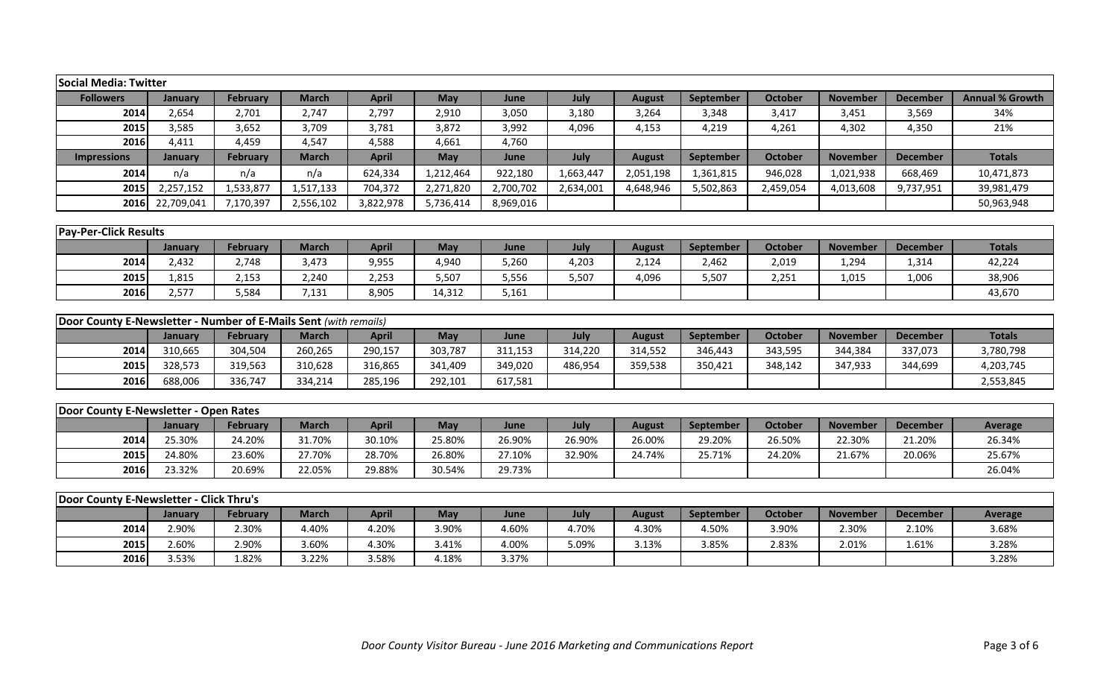| Social Media: Twitter                                            |            |                 |              |              |           |           |           |               |           |                |                 |                 |                        |
|------------------------------------------------------------------|------------|-----------------|--------------|--------------|-----------|-----------|-----------|---------------|-----------|----------------|-----------------|-----------------|------------------------|
| <b>Followers</b>                                                 | January    | <b>February</b> | <b>March</b> | <b>April</b> | May       | June      | July      | <b>August</b> | September | <b>October</b> | <b>November</b> | <b>December</b> | <b>Annual % Growth</b> |
| 2014                                                             | 2,654      | 2,701           | 2,747        | 2,797        | 2,910     | 3,050     | 3,180     | 3,264         | 3,348     | 3,417          | 3,451           | 3,569           | 34%                    |
| 2015                                                             | 3,585      | 3,652           | 3,709        | 3,781        | 3,872     | 3,992     | 4,096     | 4,153         | 4,219     | 4,261          | 4,302           | 4,350           | 21%                    |
| 2016                                                             | 4,411      | 4,459           | 4,547        | 4,588        | 4,661     | 4,760     |           |               |           |                |                 |                 |                        |
| <b>Impressions</b>                                               | January    | <b>February</b> | <b>March</b> | <b>April</b> | May       | June      | July      | <b>August</b> | September | <b>October</b> | <b>November</b> | <b>December</b> | <b>Totals</b>          |
| 2014                                                             | n/a        | n/a             | n/a          | 624,334      | 1,212,464 | 922,180   | 1,663,447 | 2,051,198     | 1,361,815 | 946,028        | 1,021,938       | 668,469         | 10,471,873             |
| 2015                                                             | 2,257,152  | 1,533,877       | 1,517,133    | 704,372      | 2,271,820 | 2,700,702 | 2,634,001 | 4,648,946     | 5,502,863 | 2,459,054      | 4,013,608       | 9,737,951       | 39,981,479             |
| 2016                                                             | 22,709,041 | 7,170,397       | 2,556,102    | 3,822,978    | 5,736,414 | 8,969,016 |           |               |           |                |                 |                 | 50,963,948             |
|                                                                  |            |                 |              |              |           |           |           |               |           |                |                 |                 |                        |
| <b>Pay-Per-Click Results</b>                                     |            |                 |              |              |           |           |           |               |           |                |                 |                 |                        |
|                                                                  | January    | February        | <b>March</b> | <b>April</b> | May       | June      | July      | <b>August</b> | September | <b>October</b> | <b>November</b> | <b>December</b> | <b>Totals</b>          |
| 2014                                                             | 2,432      | 2,748           | 3,473        | 9,955        | 4,940     | 5,260     | 4,203     | 2,124         | 2,462     | 2,019          | 1,294           | 1,314           | 42,224                 |
| 2015                                                             | 1,815      | 2,153           | 2,240        | 2,253        | 5,507     | 5,556     | 5,507     | 4,096         | 5,507     | 2,251          | 1,015           | 1,006           | 38,906                 |
| 2016                                                             | 2,577      | 5,584           | 7,131        | 8,905        | 14,312    | 5,161     |           |               |           |                |                 |                 | 43,670                 |
|                                                                  |            |                 |              |              |           |           |           |               |           |                |                 |                 |                        |
| Door County E-Newsletter - Number of E-Mails Sent (with remails) |            |                 |              |              |           |           |           |               |           |                |                 |                 |                        |
|                                                                  | January    | <b>February</b> | <b>March</b> | <b>April</b> | May       | June      | July      | <b>August</b> | September | <b>October</b> | <b>November</b> | <b>December</b> | <b>Totals</b>          |
| 2014                                                             | 310,665    | 304,504         | 260,265      | 290,157      | 303,787   | 311,153   | 314,220   | 314,552       | 346,443   | 343,595        | 344,384         | 337,073         | 3,780,798              |
| 2015                                                             | 328,573    | 319,563         | 310,628      | 316,865      | 341,409   | 349,020   | 486,954   | 359,538       | 350,421   | 348,142        | 347,933         | 344,699         | 4,203,745              |
| 2016                                                             | 688,006    | 336,747         | 334,214      | 285,196      | 292,101   | 617,581   |           |               |           |                |                 |                 | 2,553,845              |
|                                                                  |            |                 |              |              |           |           |           |               |           |                |                 |                 |                        |
| Door County E-Newsletter - Open Rates                            |            |                 |              |              |           |           |           |               |           |                |                 |                 |                        |
|                                                                  | January    | <b>February</b> | <b>March</b> | <b>April</b> | May       | June      | July      | <b>August</b> | September | <b>October</b> | <b>November</b> | <b>December</b> | Average                |
| 2014                                                             | 25.30%     | 24.20%          | 31.70%       | 30.10%       | 25.80%    | 26.90%    | 26.90%    | 26.00%        | 29.20%    | 26.50%         | 22.30%          | 21.20%          | 26.34%                 |
| 2015                                                             | 24.80%     | 23.60%          | 27.70%       | 28.70%       | 26.80%    | 27.10%    | 32.90%    | 24.74%        | 25.71%    | 24.20%         | 21.67%          | 20.06%          | 25.67%                 |
| 2016                                                             | 23.32%     | 20.69%          | 22.05%       | 29.88%       | 30.54%    | 29.73%    |           |               |           |                |                 |                 | 26.04%                 |
|                                                                  |            |                 |              |              |           |           |           |               |           |                |                 |                 |                        |
| Door County E-Newsletter - Click Thru's                          |            |                 |              |              |           |           |           |               |           |                |                 |                 |                        |
|                                                                  | January    | <b>February</b> | <b>March</b> | <b>April</b> | May       | June      | July      | <b>August</b> | September | <b>October</b> | <b>November</b> | <b>December</b> | Average                |
| 2014                                                             | 2.90%      | 2.30%           | 4.40%        | 4.20%        | 3.90%     | 4.60%     | 4.70%     | 4.30%         | 4.50%     | 3.90%          | 2.30%           | 2.10%           | 3.68%                  |
| 2015                                                             | 2.60%      | 2.90%           | 3.60%        | 4.30%        | 3.41%     | 4.00%     | 5.09%     | 3.13%         | 3.85%     | 2.83%          | 2.01%           | 1.61%           | 3.28%                  |
| 2016                                                             | 3.53%      | 1.82%           | 3.22%        | 3.58%        | 4.18%     | 3.37%     |           |               |           |                |                 |                 | 3.28%                  |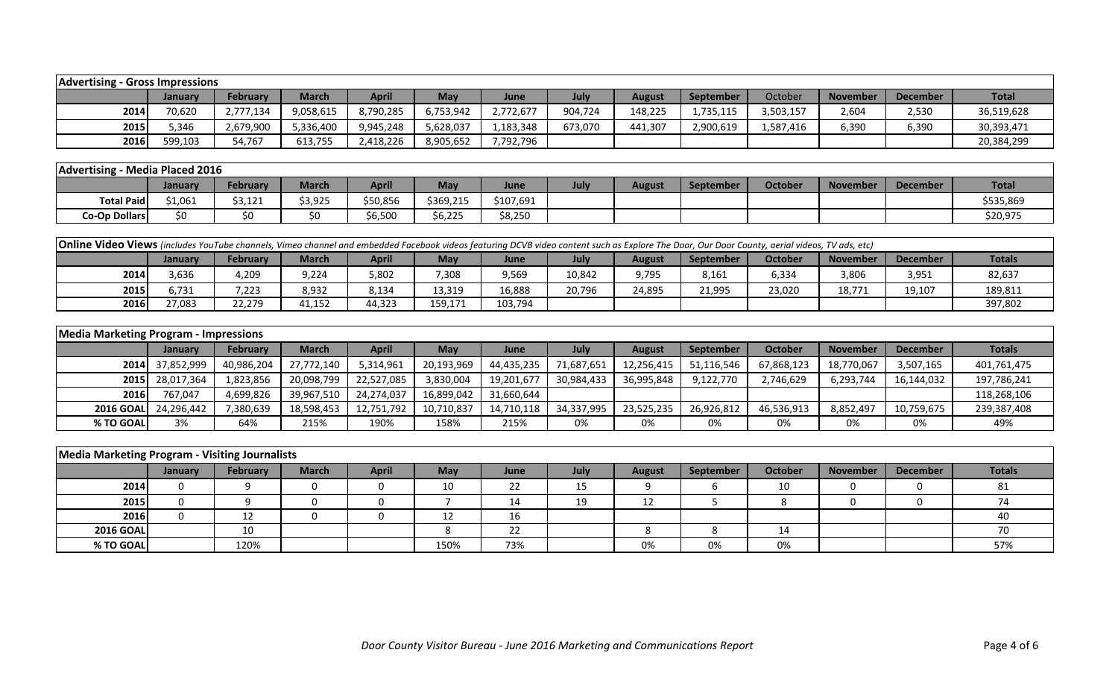| <b>Advertising - Gross Impressions</b> |         |                 |           |           |            |           |         |         |           |           |                 |                 |              |
|----------------------------------------|---------|-----------------|-----------|-----------|------------|-----------|---------|---------|-----------|-----------|-----------------|-----------------|--------------|
|                                        | January | <b>February</b> | March     | April     | <b>May</b> | June      | July    | August  | September | October   | <b>November</b> | <b>December</b> | <b>Total</b> |
| 2014                                   | 70,620  | 2,777,134       | 9,058,615 | 8,790,285 | 6,753,942  | 2,772,677 | 904,724 | 148,225 | 1,735,115 | 3,503,157 | 2,604           | 2,530           | 36,519,628   |
| 2015                                   | 5,346   | 2,679,900       | 5,336,400 | 9,945,248 | 5,628,037  | 1,183,348 | 673,070 | 441,307 | 2,900,619 | .,587,416 | 6,390           | 6,390           | 30,393,471   |
| 2016                                   | 599,103 | 54,767          | 613,755   | 2,418,226 | 8,905,652  | 7,792,796 |         |         |           |           |                 |                 | 20,384,299   |

|                   | <b>Advertising - Media Placed 2016</b> |          |         |              |                          |           |      |        |           |                |                 |                 |              |
|-------------------|----------------------------------------|----------|---------|--------------|--------------------------|-----------|------|--------|-----------|----------------|-----------------|-----------------|--------------|
|                   | January                                | February | March   | <b>April</b> | May                      | June      | July | August | September | <b>October</b> | <b>November</b> | <b>December</b> | <b>Total</b> |
| <b>Total Paid</b> | 4.004<br><b>21,UDT</b>                 | \$3,121  | \$3,925 | \$50,856     | \$369,215                | \$107,691 |      |        |           |                |                 |                 | \$535,869    |
| Co-Op Dollars     | \$0                                    | \$0      | S0      | \$6,500      | $\lambda$ cant<br>56,225 | \$8,250   |      |        |           |                |                 |                 | \$20,975     |

| <b>Online Video Views</b> (includes YouTube channels, Vimeo channel and embedded Facebook videos featuring DCVB video content such as Explore The Door, Our Door County, aerial videos, TV ads, etc) |         |          |              |              |            |         |        |        |                  |         |          |                 |               |
|------------------------------------------------------------------------------------------------------------------------------------------------------------------------------------------------------|---------|----------|--------------|--------------|------------|---------|--------|--------|------------------|---------|----------|-----------------|---------------|
|                                                                                                                                                                                                      | Januarv | February | <b>March</b> | <b>April</b> | <b>May</b> | June    | July   | August | <b>September</b> | October | November | <b>December</b> | <b>Totals</b> |
| 2014                                                                                                                                                                                                 | 3,636   | 4,209    | 9,224        | 5,802        | 7,308      | 9,569   | 10,842 | 9,795  | 8,161            | 6,334   | 3,806    | 3,951           | 82,637        |
| 2015                                                                                                                                                                                                 | 6,731   | 223,'    | 8,932        | 8,134        | 13,319     | 16,888  | 20,796 | 24,895 | 21,995           | 23,020  | 18,771   | 19,107          | 189,811       |
| 2016                                                                                                                                                                                                 | 27.083  | 22,279   | 11,152       | 44,323       | 159,171    | 103,794 |        |        |                  |         |          |                 | 397,802       |

| <b>Media Marketing Program - Impressions</b> |                      |                 |              |              |            |            |             |               |                  |            |                 |            |             |
|----------------------------------------------|----------------------|-----------------|--------------|--------------|------------|------------|-------------|---------------|------------------|------------|-----------------|------------|-------------|
|                                              | January              | <b>February</b> | <b>March</b> | <b>April</b> | May        | June       | <b>July</b> | <b>August</b> | <b>September</b> | October    | <b>November</b> | December   | Totals      |
|                                              | 2014 37,852,999      | 40,986,204      | 27,772,140   | 5,314,961    | 20,193,969 | 44,435,235 | 71,687,651  | 12,256,415    | 51,116,546       | 67,868,123 | 18,770,067      | 3,507,165  | 401,761,475 |
|                                              | 2015 28,017,364      | 1,823,856       | 20,098,799   | 22,527,085   | 3,830,004  | 19,201,677 | 30,984,433  | 36,995,848    | 9,122,770        | 2,746,629  | 6,293,744       | 16,144,032 | 197,786,241 |
| 2016                                         | 767,047              | 4,699,826       | 39,967,510   | 24,274,037   | 16,899,042 | 31,660,644 |             |               |                  |            |                 |            | 118,268,106 |
|                                              | 2016 GOAL 24,296,442 | ,380,639        | 18,598,453   | 12,751,792   | 10,710,837 | 14,710,118 | 34,337,995  | 23,525,235    | 26,926,812       | 46,536,913 | 8,852,497       | 10,759,675 | 239,387,408 |
| % TO GOAL                                    | 3%                   | 64%             | 215%         | 190%         | 158%       | 215%       | 0%          | 0%            | 0%               | 0%         | 0%              | 0%         | 49%         |

| <b>Media Marketing Program - Visiting Journalists</b> |                |                 |              |              |            |      |             |               |           |         |                 |                 |               |
|-------------------------------------------------------|----------------|-----------------|--------------|--------------|------------|------|-------------|---------------|-----------|---------|-----------------|-----------------|---------------|
|                                                       | <b>January</b> | <b>February</b> | <b>March</b> | <b>April</b> | <b>May</b> | June | <b>July</b> | <b>August</b> | September | October | <b>November</b> | <b>December</b> | <b>Totals</b> |
| 2014                                                  |                |                 |              |              | 10         | 22   | --          |               |           | 10      |                 |                 | 81            |
| 2015                                                  |                |                 |              |              |            | 14   | 19<br>--    | ᅩᄼ            |           |         |                 |                 |               |
| 2016                                                  |                | 12              |              |              |            | 16   |             |               |           |         |                 |                 | 40            |
| <b>2016 GOAL</b>                                      |                | 10              |              |              |            | 22   |             |               |           | 14      |                 |                 | 70            |
| % TO GOAL                                             |                | 120%            |              |              | 150%       | 73%  |             | 0%            | 0%        | 0%      |                 |                 | 57%           |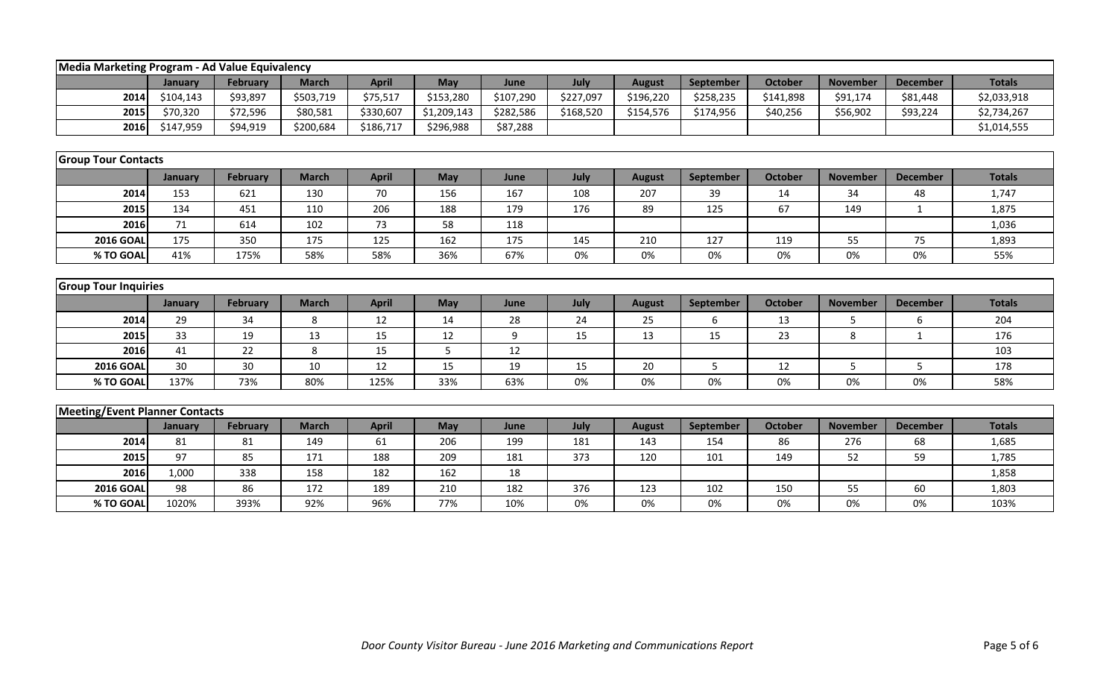|                                       | Media Marketing Program - Ad Value Equivalency |                 |              |              |             |           |           |               |           |                |                 |                 |               |  |
|---------------------------------------|------------------------------------------------|-----------------|--------------|--------------|-------------|-----------|-----------|---------------|-----------|----------------|-----------------|-----------------|---------------|--|
|                                       | January                                        | February        | <b>March</b> | <b>April</b> | May         | June      | July      | <b>August</b> | September | October        | <b>November</b> | <b>December</b> | <b>Totals</b> |  |
| 2014                                  | \$104,143                                      | \$93,897        | \$503,719    | \$75,517     | \$153,280   | \$107,290 | \$227,097 | \$196,220     | \$258,235 | \$141,898      | \$91,174        | \$81,448        | \$2,033,918   |  |
| 2015                                  | \$70,320                                       | \$72,596        | \$80,581     | \$330,607    | \$1,209,143 | \$282,586 | \$168,520 | \$154,576     | \$174,956 | \$40,256       | \$56,902        | \$93,224        | \$2,734,267   |  |
| 2016                                  | \$147,959                                      | \$94,919        | \$200,684    | \$186,717    | \$296,988   | \$87,288  |           |               |           |                |                 |                 | \$1,014,555   |  |
|                                       |                                                |                 |              |              |             |           |           |               |           |                |                 |                 |               |  |
| <b>Group Tour Contacts</b>            |                                                |                 |              |              |             |           |           |               |           |                |                 |                 |               |  |
|                                       | January                                        | <b>February</b> | <b>March</b> | <b>April</b> | May         | June      | July      | <b>August</b> | September | <b>October</b> | <b>November</b> | <b>December</b> | <b>Totals</b> |  |
| 2014                                  | 153                                            | 621             | 130          | 70           | 156         | 167       | 108       | 207           | 39        | 14             | 34              | 48              | 1,747         |  |
| 2015                                  | 134                                            | 451             | 110          | 206          | 188         | 179       | 176       | 89            | 125       | 67             | 149             | $\mathbf{1}$    | 1,875         |  |
| 2016                                  | 71                                             | 614             | 102          | 73           | 58          | 118       |           |               |           |                |                 |                 | 1,036         |  |
| <b>2016 GOAL</b>                      | 175                                            | 350             | 175          | 125          | 162         | 175       | 145       | 210           | 127       | 119            | 55              | 75              | 1,893         |  |
| % TO GOAL                             | 41%                                            | 175%            | 58%          | 58%          | 36%         | 67%       | 0%        | 0%            | 0%        | 0%             | 0%              | 0%              | 55%           |  |
|                                       |                                                |                 |              |              |             |           |           |               |           |                |                 |                 |               |  |
| <b>Group Tour Inquiries</b>           |                                                |                 |              |              |             |           |           |               |           |                |                 |                 |               |  |
|                                       | January                                        | February        | <b>March</b> | <b>April</b> | May         | June      | July      | <b>August</b> | September | <b>October</b> | <b>November</b> | <b>December</b> | <b>Totals</b> |  |
| 2014                                  | 29                                             | 34              | 8            | 12           | 14          | 28        | 24        | 25            | 6         | 13             | 5               | 6               | 204           |  |
| 2015                                  | 33                                             | 19              | 13           | 15           | 12          | 9         | 15        | 13            | 15        | 23             | 8               | 1               | 176           |  |
| 2016                                  | 41                                             | 22              | 8            | 15           | 5           | 12        |           |               |           |                |                 |                 | 103           |  |
| <b>2016 GOAL</b>                      | 30                                             | 30              | 10           | 12           | 15          | 19        | 15        | 20            | 5         | 12             | 5               | 5               | 178           |  |
| % TO GOAL                             | 137%                                           | 73%             | 80%          | 125%         | 33%         | 63%       | 0%        | 0%            | 0%        | 0%             | 0%              | 0%              | 58%           |  |
|                                       |                                                |                 |              |              |             |           |           |               |           |                |                 |                 |               |  |
| <b>Meeting/Event Planner Contacts</b> |                                                |                 |              |              |             |           |           |               |           |                |                 |                 |               |  |
|                                       | January                                        | February        | <b>March</b> | <b>April</b> | May         | June      | July      | <b>August</b> | September | <b>October</b> | <b>November</b> | <b>December</b> | <b>Totals</b> |  |
| 2014                                  | 81                                             | 81              | 149          | 61           | 206         | 199       | 181       | 143           | 154       | 86             | 276             | 68              | 1,685         |  |
| 2015                                  | 97                                             | 85              | 171          | 188          | 209         | 181       | 373       | 120           | 101       | 149            | 52              | 59              | 1,785         |  |
| 2016                                  | 1,000                                          | 338             | 158          | 182          | 162         | 18        |           |               |           |                |                 |                 | 1,858         |  |
| <b>2016 GOAL</b>                      | 98                                             | 86              | 172          | 189          | 210         | 182       | 376       | 123           | 102       | 150            | 55              | 60              | 1,803         |  |
| % TO GOAL                             | 1020%                                          | 393%            | 92%          | 96%          | 77%         | 10%       | 0%        | 0%            | 0%        | 0%             | 0%              | 0%              | 103%          |  |